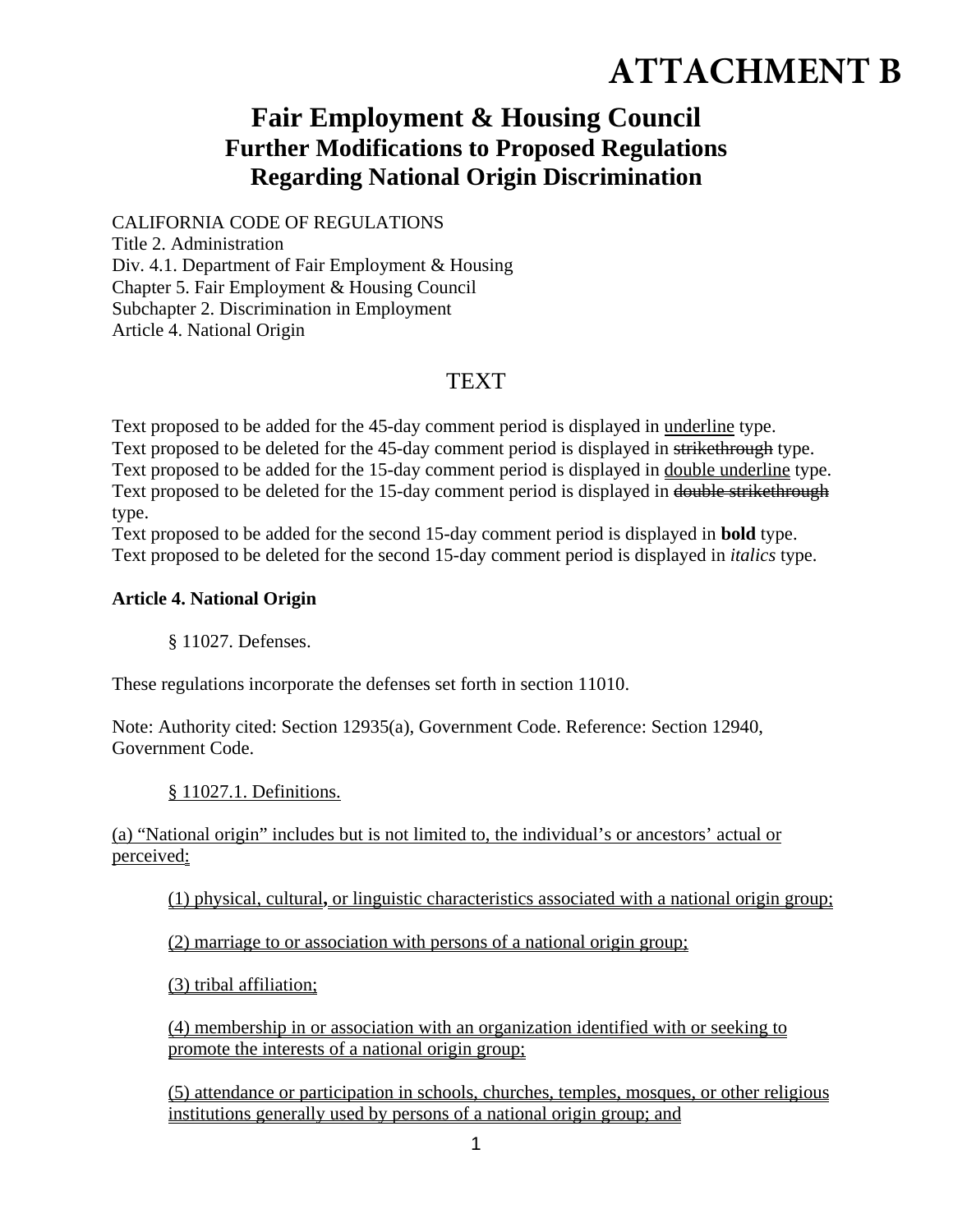# **ATTACHMENT B**

## **Fair Employment & Housing Council Further Modifications to Proposed Regulations Regarding National Origin Discrimination**

#### CALIFORNIA CODE OF REGULATIONS

Title 2. Administration Div. 4.1. Department of Fair Employment & Housing Chapter 5. Fair Employment & Housing Council Subchapter 2. Discrimination in Employment Article 4. National Origin

### **TEXT**

Text proposed to be added for the 45-day comment period is displayed in underline type. Text proposed to be deleted for the 45-day comment period is displayed in strikethrough type. Text proposed to be added for the 15-day comment period is displayed in double underline type. Text proposed to be deleted for the 15-day comment period is displayed in double strikethrough type.

Text proposed to be added for the second 15-day comment period is displayed in **bold** type. Text proposed to be deleted for the second 15-day comment period is displayed in *italics* type.

#### **Article 4. National Origin**

§ 11027. Defenses.

These regulations incorporate the defenses set forth in section 11010.

Note: Authority cited: Section 12935(a), Government Code. Reference: Section 12940, Government Code.

#### § 11027.1. Definitions.

(a) "National origin" includes but is not limited to, the individual's or ancestors' actual or perceived:

(1) physical, cultural**,** or linguistic characteristics associated with a national origin group;

(2) marriage to or association with persons of a national origin group;

(3) tribal affiliation;

(4) membership in or association with an organization identified with or seeking to promote the interests of a national origin group;

(5) attendance or participation in schools, churches, temples, mosques, or other religious institutions generally used by persons of a national origin group; and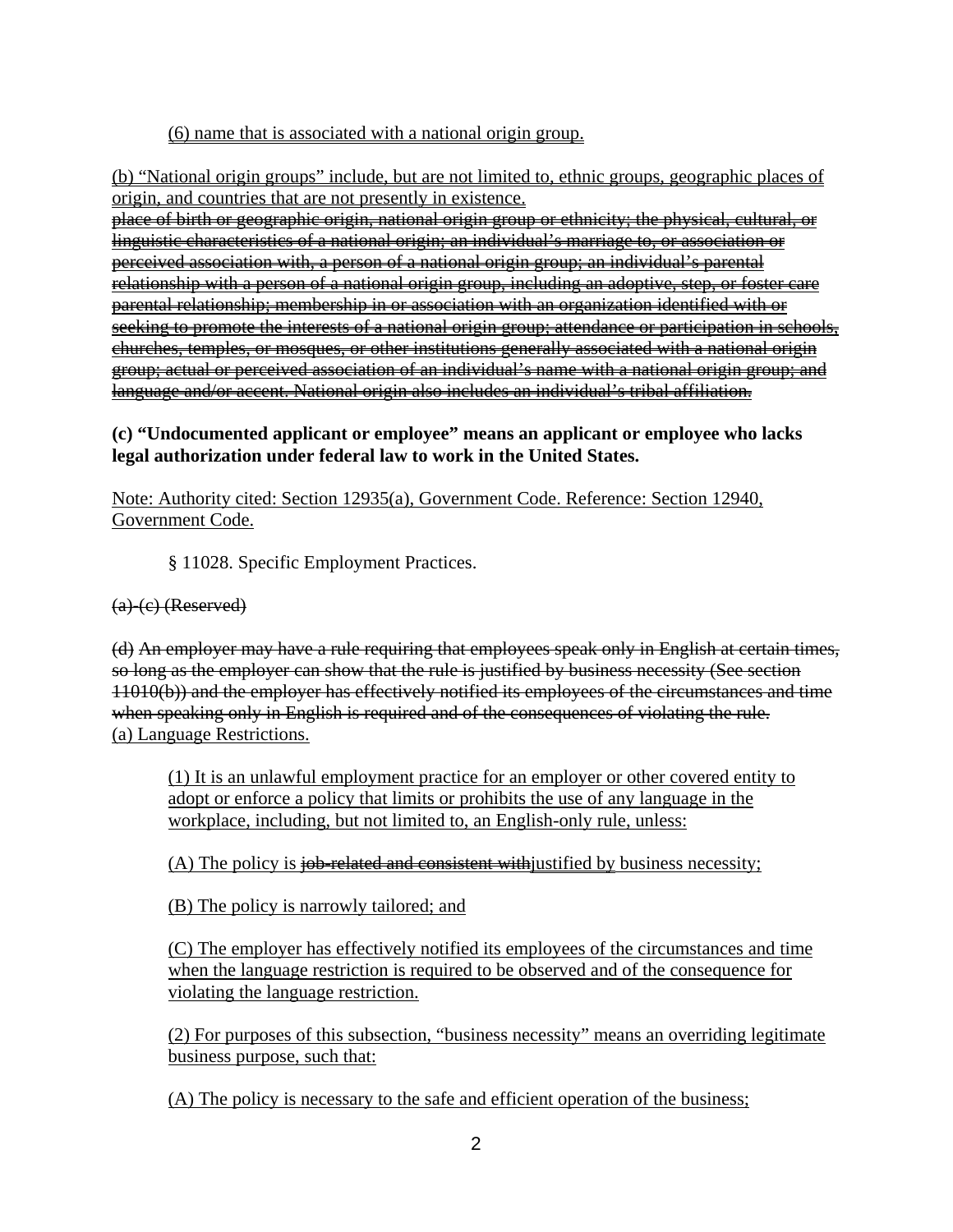#### (6) name that is associated with a national origin group.

(b) "National origin groups" include, but are not limited to, ethnic groups, geographic places of origin, and countries that are not presently in existence.

place of birth or geographic origin, national origin group or ethnicity; the physical, cultural, or linguistic characteristics of a national origin; an individual's marriage to, or association or perceived association with, a person of a national origin group; an individual's parental relationship with a person of a national origin group, including an adoptive, step, or foster care parental relationship; membership in or association with an organization identified with or seeking to promote the interests of a national origin group; attendance or participation in schools, churches, temples, or mosques, or other institutions generally associated with a national origin group; actual or perceived association of an individual's name with a national origin group; and language and/or accent. National origin also includes an individual's tribal affiliation.

#### **(c) "Undocumented applicant or employee" means an applicant or employee who lacks legal authorization under federal law to work in the United States.**

Note: Authority cited: Section 12935(a), Government Code. Reference: Section 12940, Government Code.

§ 11028. Specific Employment Practices.

#### (a)-(c) (Reserved)

(d) An employer may have a rule requiring that employees speak only in English at certain times, so long as the employer can show that the rule is justified by business necessity (See section 11010(b)) and the employer has effectively notified its employees of the circumstances and time when speaking only in English is required and of the consequences of violating the rule. (a) Language Restrictions.

(1) It is an unlawful employment practice for an employer or other covered entity to adopt or enforce a policy that limits or prohibits the use of any language in the workplace, including, but not limited to, an English-only rule, unless:

 $(A)$  The policy is job-related and consistent with justified by business necessity;

(B) The policy is narrowly tailored; and

(C) The employer has effectively notified its employees of the circumstances and time when the language restriction is required to be observed and of the consequence for violating the language restriction.

(2) For purposes of this subsection, "business necessity" means an overriding legitimate business purpose, such that:

(A) The policy is necessary to the safe and efficient operation of the business;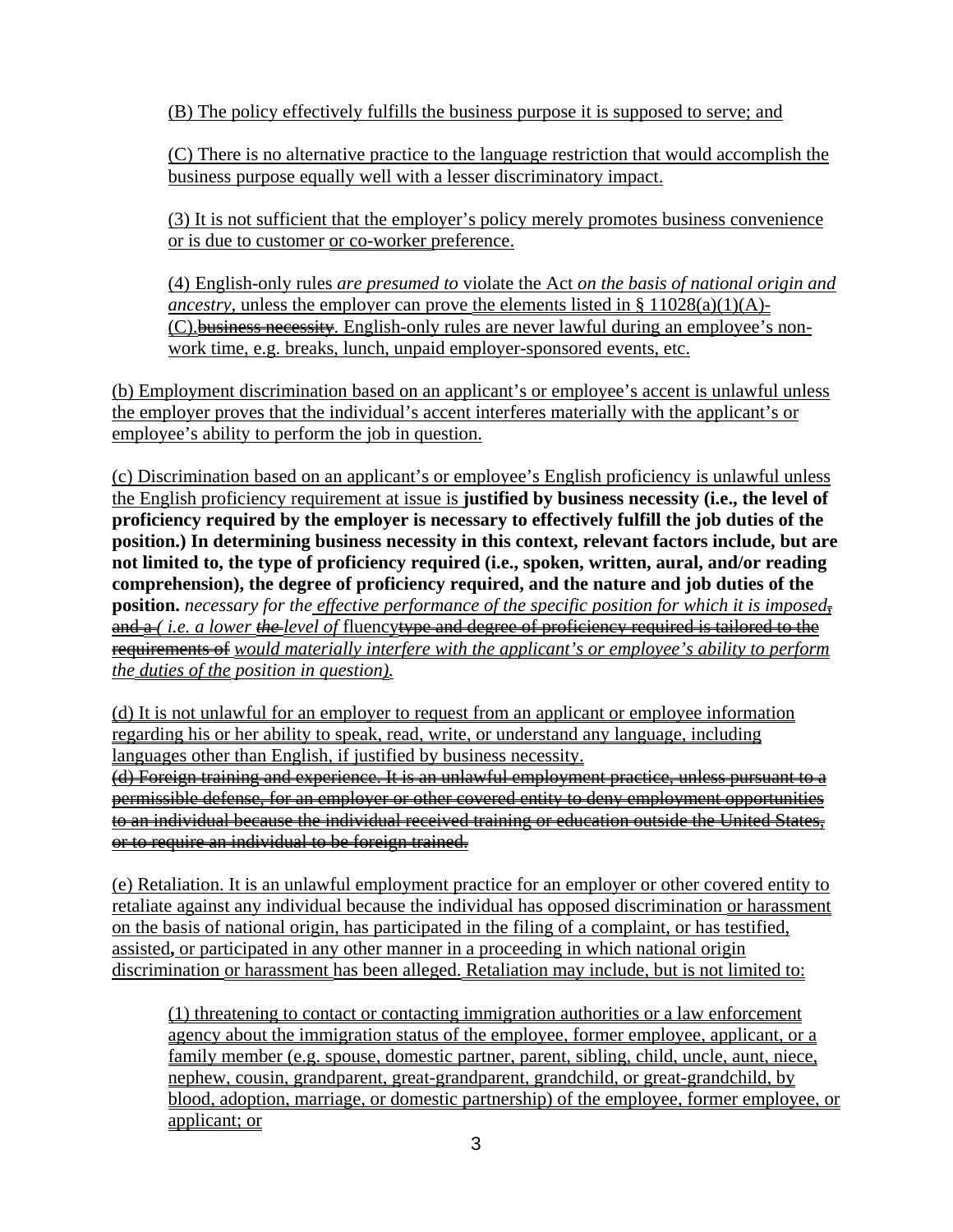(B) The policy effectively fulfills the business purpose it is supposed to serve; and

(C) There is no alternative practice to the language restriction that would accomplish the business purpose equally well with a lesser discriminatory impact.

(3) It is not sufficient that the employer's policy merely promotes business convenience or is due to customer or co-worker preference.

(4) English-only rules *are presumed to* violate the Act *on the basis of national origin and ancestry*, unless the employer can prove the elements listed in §  $11028(a)(1)(A)$ -(C).business necessity. English-only rules are never lawful during an employee's nonwork time, e.g. breaks, lunch, unpaid employer-sponsored events, etc.

(b) Employment discrimination based on an applicant's or employee's accent is unlawful unless the employer proves that the individual's accent interferes materially with the applicant's or employee's ability to perform the job in question.

(c) Discrimination based on an applicant's or employee's English proficiency is unlawful unless the English proficiency requirement at issue is **justified by business necessity (i.e., the level of proficiency required by the employer is necessary to effectively fulfill the job duties of the position.) In determining business necessity in this context, relevant factors include, but are not limited to, the type of proficiency required (i.e., spoken, written, aural, and/or reading comprehension), the degree of proficiency required, and the nature and job duties of the position.** *necessary for the effective performance of the specific position for which it is imposed,*  and  $a$  (*i.e. a lower the level of fluency* type and degree of proficiency required is tailored to the requirements of *would materially interfere with the applicant's or employee's ability to perform the duties of the position in question).*

(d) It is not unlawful for an employer to request from an applicant or employee information regarding his or her ability to speak, read, write, or understand any language, including languages other than English, if justified by business necessity.

(d) Foreign training and experience. It is an unlawful employment practice, unless pursuant to a permissible defense, for an employer or other covered entity to deny employment opportunities to an individual because the individual received training or education outside the United States, or to require an individual to be foreign trained.

(e) Retaliation. It is an unlawful employment practice for an employer or other covered entity to retaliate against any individual because the individual has opposed discrimination or harassment on the basis of national origin, has participated in the filing of a complaint, or has testified, assisted**,** or participated in any other manner in a proceeding in which national origin discrimination or harassment has been alleged. Retaliation may include, but is not limited to:

(1) threatening to contact or contacting immigration authorities or a law enforcement agency about the immigration status of the employee, former employee, applicant, or a family member (e.g. spouse, domestic partner, parent, sibling, child, uncle, aunt, niece, nephew, cousin, grandparent, great-grandparent, grandchild, or great-grandchild, by blood, adoption, marriage, or domestic partnership) of the employee, former employee, or applicant; or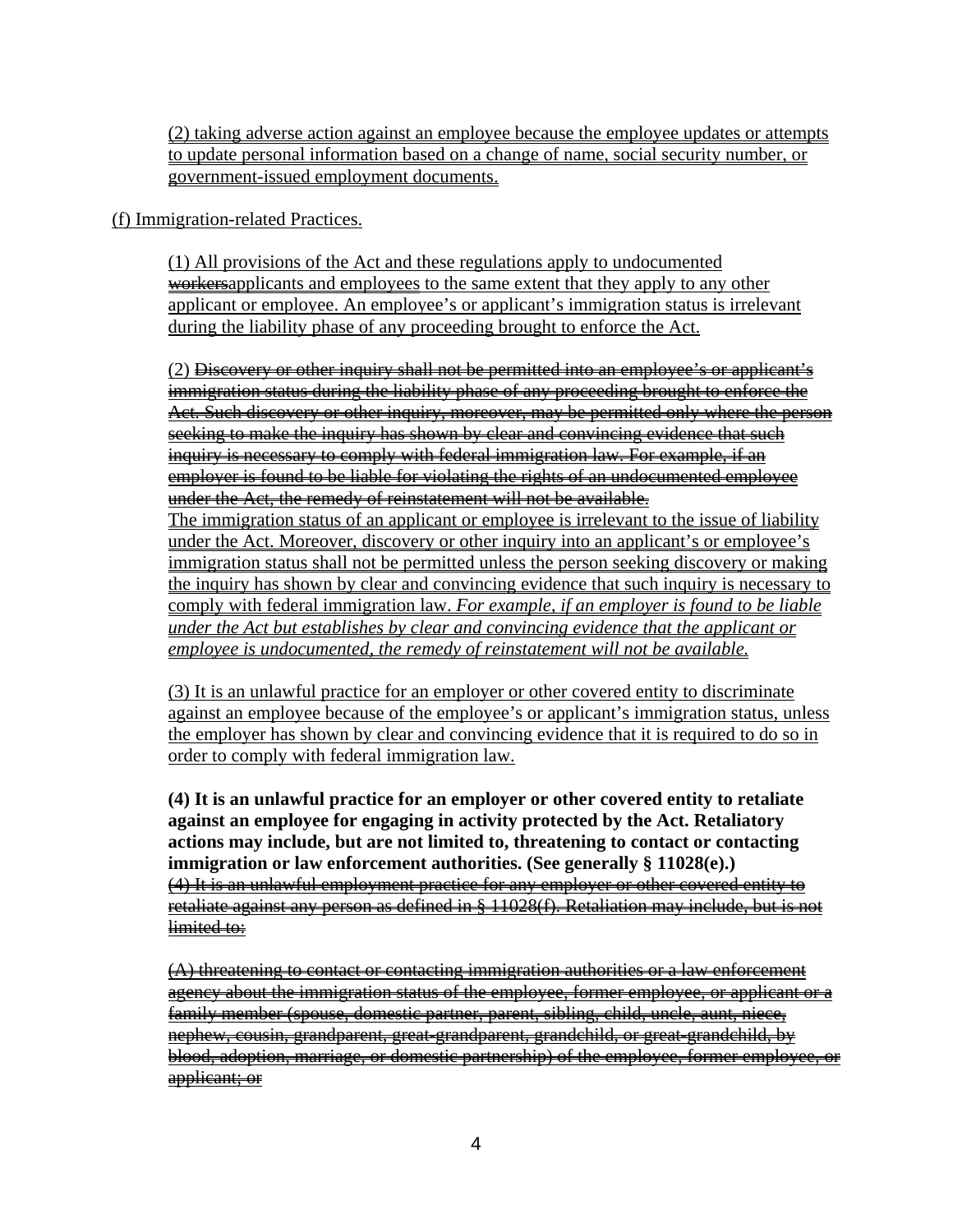(2) taking adverse action against an employee because the employee updates or attempts to update personal information based on a change of name, social security number, or government-issued employment documents.

(f) Immigration-related Practices.

(1) All provisions of the Act and these regulations apply to undocumented workersapplicants and employees to the same extent that they apply to any other applicant or employee. An employee's or applicant's immigration status is irrelevant during the liability phase of any proceeding brought to enforce the Act.

(2) Discovery or other inquiry shall not be permitted into an employee's or applicant's immigration status during the liability phase of any proceeding brought to enforce the Act. Such discovery or other inquiry, moreover, may be permitted only where the person seeking to make the inquiry has shown by clear and convincing evidence that such inquiry is necessary to comply with federal immigration law. For example, if an employer is found to be liable for violating the rights of an undocumented employee under the Act, the remedy of reinstatement will not be available. The immigration status of an applicant or employee is irrelevant to the issue of liability under the Act. Moreover, discovery or other inquiry into an applicant's or employee's immigration status shall not be permitted unless the person seeking discovery or making the inquiry has shown by clear and convincing evidence that such inquiry is necessary to comply with federal immigration law. *For example, if an employer is found to be liable under the Act but establishes by clear and convincing evidence that the applicant or employee is undocumented, the remedy of reinstatement will not be available.*

(3) It is an unlawful practice for an employer or other covered entity to discriminate against an employee because of the employee's or applicant's immigration status, unless the employer has shown by clear and convincing evidence that it is required to do so in order to comply with federal immigration law.

**(4) It is an unlawful practice for an employer or other covered entity to retaliate against an employee for engaging in activity protected by the Act. Retaliatory actions may include, but are not limited to, threatening to contact or contacting immigration or law enforcement authorities. (See generally § 11028(e).)** (4) It is an unlawful employment practice for any employer or other covered entity to retaliate against any person as defined in § 11028(f). Retaliation may include, but is not limited to:

(A) threatening to contact or contacting immigration authorities or a law enforcement agency about the immigration status of the employee, former employee, or applicant or a family member (spouse, domestic partner, parent, sibling, child, uncle, aunt, niece, nephew, cousin, grandparent, great-grandparent, grandchild, or great-grandchild, by blood, adoption, marriage, or domestic partnership) of the employee, former employee, or applicant; or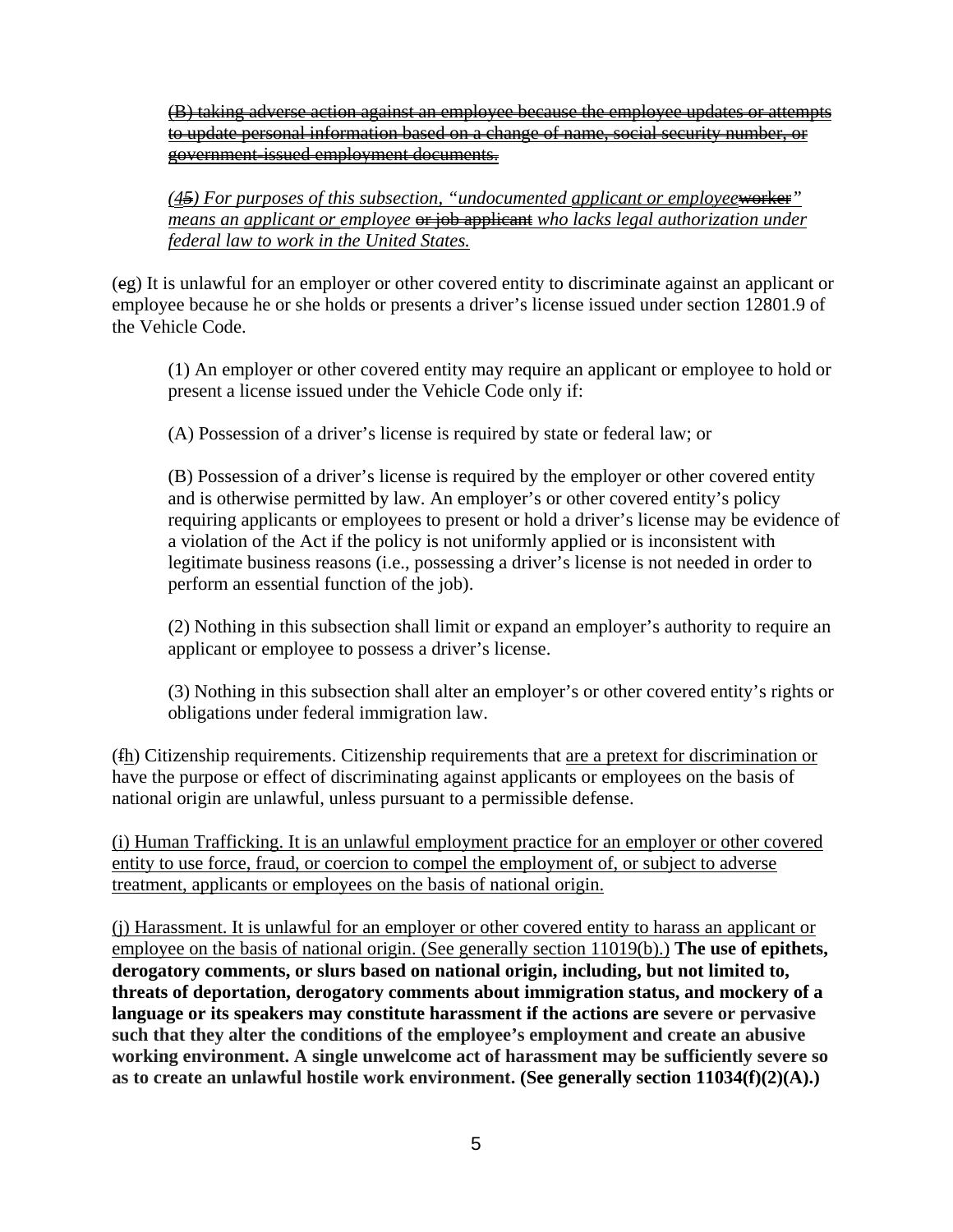(B) taking adverse action against an employee because the employee updates or attempts to update personal information based on a change of name, social security number, or government-issued employment documents.

*(45) For purposes of this subsection, "undocumented applicant or employee* worker<sup>"</sup> *means an <u>applicant or employee</u>* <del>or job applicant</del> who lacks legal authorization under *federal law to work in the United States.* 

(eg) It is unlawful for an employer or other covered entity to discriminate against an applicant or employee because he or she holds or presents a driver's license issued under section 12801.9 of the Vehicle Code.

(1) An employer or other covered entity may require an applicant or employee to hold or present a license issued under the Vehicle Code only if:

(A) Possession of a driver's license is required by state or federal law; or

(B) Possession of a driver's license is required by the employer or other covered entity and is otherwise permitted by law. An employer's or other covered entity's policy requiring applicants or employees to present or hold a driver's license may be evidence of a violation of the Act if the policy is not uniformly applied or is inconsistent with legitimate business reasons (i.e., possessing a driver's license is not needed in order to perform an essential function of the job).

(2) Nothing in this subsection shall limit or expand an employer's authority to require an applicant or employee to possess a driver's license.

(3) Nothing in this subsection shall alter an employer's or other covered entity's rights or obligations under federal immigration law.

(fh) Citizenship requirements. Citizenship requirements that are a pretext for discrimination or have the purpose or effect of discriminating against applicants or employees on the basis of national origin are unlawful, unless pursuant to a permissible defense.

(i) Human Trafficking. It is an unlawful employment practice for an employer or other covered entity to use force, fraud, or coercion to compel the employment of, or subject to adverse treatment, applicants or employees on the basis of national origin.

(j) Harassment. It is unlawful for an employer or other covered entity to harass an applicant or employee on the basis of national origin. (See generally section 11019(b).) **The use of epithets, derogatory comments, or slurs based on national origin, including, but not limited to, threats of deportation, derogatory comments about immigration status, and mockery of a language or its speakers may constitute harassment if the actions are severe or pervasive such that they alter the conditions of the employee's employment and create an abusive working environment. A single unwelcome act of harassment may be sufficiently severe so as to create an unlawful hostile work environment. (See generally section 11034(f)(2)(A).)**